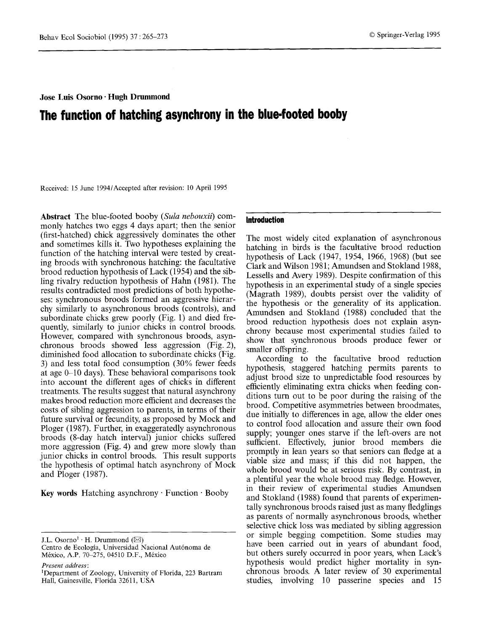**Jose Luis Osorno" Hugh Drummond** 

# **The function of hatching asynchrony in the blue-footed booby**

Received: 15 June 1994/Accepted after revision: 10 April 1995

**Abstract** The blue-footed booby *(Sula nebouxii)* commonly hatches two eggs 4 days apart; then the senior (first-hatched) chick aggressively dominates the other and sometimes kills it. Two hypotheses explaining the function of the hatching interval were tested by creating broods with synchronous hatching: the facultative brood reduction hypothesis of Lack (1954) and the sibling rivalry reduction hypothesis of Hahn (1981). The results contradicted most predictions of both hypotheses: synchronous broods formed an aggressive hierarchy similarly to asynchronous broods (controls), and subordinate chicks grew poorly (Fig. 1) and died frequently, similarly to junior chicks in control broods. However, compared with synchronous broods, asynchronous broods showed less aggression (Fig. 2), diminished food allocation to subordinate chicks (Fig. 3) and less total food consumption (30% fewer feeds at age 0-10 days). These behavioral comparisons took into account the different ages of chicks in different treatments. The results suggest that natural asynchrony makes brood reduction more efficient and decreases the costs of sibling aggression to parents, in terms of their future survival or fecundity, as proposed by Mock and Ploger (1987). Further, in exaggeratedly asynchronous broods (8-day hatch interval) junior chicks suffered more aggression (Fig. 4) and grew more slowly than junior chicks in control broods. This result supports the hypothesis of optimal hatch asynchrony of Mock and Ploger (1987).

Key words Hatching asynchrony  $\cdot$  Function  $\cdot$  Booby

J.L. Osorno<sup>1</sup>  $\cdot$  H. Drummond ( $\boxtimes$ )

Centro de Ecología, Universidad Nacional Autónoma de M6xico, A.P. 70-275, 04510 D.F., M6xico

*Present address:* 

# **Introduction**

The most widely cited explanation of asynchronous hatching in birds is the facultative brood reduction hypothesis of Lack (1947, 1954, 1966, 1968) (but see Clark and Wilson 1981; Amundsen and Stokland 1988, Lessells and Avery 1989). Despite confirmation of this hypothesis in an experimental study of a single species (Magrath 1989), doubts persist over the validity of the hypothesis or the generality of its application. Amundsen and Stokland (1988) concluded that the brood reduction hypothesis does not explain asynchrony because most experimental studies failed to show that synchronous broods produce fewer or smaller offspring.

According to the facultative brood reduction hypothesis, staggered hatching permits parents to adjust brood size to unpredictable food resources by efficiently eliminating extra chicks when feeding conditions turn out to be poor during the raising of the brood. Competitive asymmetries between broodmates, due initially to differences in age, allow the elder ones to control food allocation and assure their own food supply; younger ones starve if the left-overs are not sufficient. Effectively, junior brood members die promptly in lean years so that seniors can fledge at a viable size and mass; if this did not happen, the whole brood would be at serious risk. By contrast, in a plentiful year the whole brood may fledge. However, in their review of experimental studies Amundsen and Stokland (1988) found that parents of experimentally synchronous broods raised just as many fledglings as parents of normally asynchronous broods, whether selective chick loss was mediated by sibling aggression or simple begging competition. Some studies may have been carried out in years of abundant food, but others surely occurred in poor years, when Lack's hypothesis would predict higher mortality in synchronous broods. A later review of 30 experimental studies, involving 10 passerine species and 15

<sup>&</sup>lt;sup>1</sup>Department of Zoology, University of Florida, 223 Bartram Hall, Gainesville, Florida 32611, USA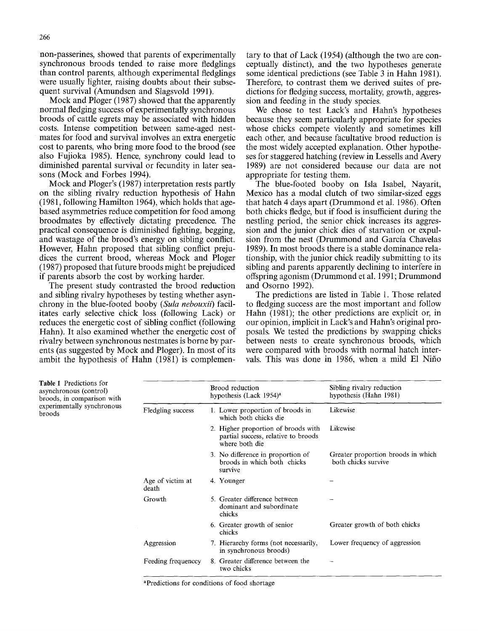non-passerines, showed that parents of experimentally synchronous broods tended to raise more fledglings than control parents, although experimental fledglings were usually lighter, raising doubts about their subsequent survival (Amundsen and Slagsvold 1991).

Mock and Ploger (1987) showed that the apparently normal fledging success of experimentally synchronous broods of cattle egrets may be associated with hidden costs. Intense competition between same-aged nestmates for food and survival involves an extra energetic cost to parents, who bring more food to the brood (see also Fujioka 1985). Hence, synchrony could lead to diminished parental survival or fecundity in later seasons (Mock and Forbes 1994).

Mock and Ploger's (1987) interpretation rests partly on the sibling rivalry reduction hypothesis of Hahn (1981, following Hamilton 1964), which holds that agebased asymmetries reduce competition for food among broodmates by effectively dictating precedence. The practical consequence is diminished fighting, begging, and wastage of the brood's energy on sibling conflict. However, Hahn proposed that sibling conflict prejudices the current brood, whereas Mock and Ploger (1987) proposed that future broods might be prejudiced if parents absorb the cost by working harder.

The present study contrasted the brood reduction and sibling rivalry hypotheses by testing whether asynchrony in the blue-footed booby *(Sula nebouxii)* facilitates early selective chick loss (following Lack) or reduces the energetic cost of sibling conflict (following Hahn). It also examined whether the energetic cost of rivalry between synchronous nestmates is borne by parents (as suggested by Mock and Ploger). In most of its ambit the hypothesis of Hahn (1981) is complementary to that of Lack (1954) (although the two are conceptually distinct), and the two hypotheses generate some identical predictions (see Table 3 in Hahn 1981). Therefore, to contrast them we derived suites of predictions for fledging success, mortality, growth, aggression and feeding in the study species.

We chose to test Lack's and Hahn's hypotheses because they seem particularly appropriate for species whose chicks compete violently and sometimes kill each other, and because facultative brood reduction is the most widely accepted explanation. Other hypotheses for staggered hatching (review in Lessells and Avery 1989) are not considered because our data are not appropriate for testing them.

The blue-footed booby on Isla Isabel, Nayarit, Mexico has a modal clutch of two similar-sized eggs that hatch 4 days apart (Drummond et al. 1986). Often both chicks fledge, but if food is insufficient during the nestling period, the senior chick increases its aggression and the junior chick dies of starvation or expulsion from the nest (Drummond and Garcia Chavelas 1989). In most broods there is a stable dominance relationship, with the junior chick readily submitting to its sibling and parents apparently declining to interfere in offspring agonism (Drummond et al. 1991; Drummond and Osorno 1992).

The predictions are listed in Table 1. Those related to fledging success are the most important and follow Hahn (1981); the other predictions are explicit or, in our opinion, implicit in Lack's and Hahn's original proposals. We tested the predictions by swapping chicks between nests to create synchronous broods, which were compared with broods with normal hatch intervals. This was done in 1986, when a mild E1 Nifio

| <b>Table 1</b> Predictions for<br>asynchronous (control)<br>broods, in comparison with<br>experimentally synchronous<br>broods |                           | Sibling rivalry reduction<br>Brood reduction<br>hypothesis (Hahn 1981)<br>hypothesis (Lack $1954$ <sup>a</sup>                           |  |
|--------------------------------------------------------------------------------------------------------------------------------|---------------------------|------------------------------------------------------------------------------------------------------------------------------------------|--|
|                                                                                                                                | Fledgling success         | 1. Lower proportion of broods in<br>Likewise.<br>which both chicks die                                                                   |  |
|                                                                                                                                |                           | Likewise<br>2. Higher proportion of broods with<br>partial success, relative to broods<br>where both die                                 |  |
|                                                                                                                                |                           | Greater proportion broods in which<br>3. No difference in proportion of<br>broods in which both chicks<br>both chicks survive<br>survive |  |
|                                                                                                                                | Age of victim at<br>death | 4. Younger                                                                                                                               |  |
|                                                                                                                                | Growth                    | 5. Greater difference between<br>dominant and subordinate<br>chicks                                                                      |  |
|                                                                                                                                |                           | Greater growth of both chicks<br>6. Greater growth of senior<br>chicks                                                                   |  |
|                                                                                                                                | Aggression                | Lower frequency of aggression<br>7. Hierarchy forms (not necessarily,<br>in synchronous broods)                                          |  |
|                                                                                                                                | Feeding frequenccy        | 8. Greater difference between the<br>two chicks                                                                                          |  |

<sup>a</sup>Predictions for conditions of food shortage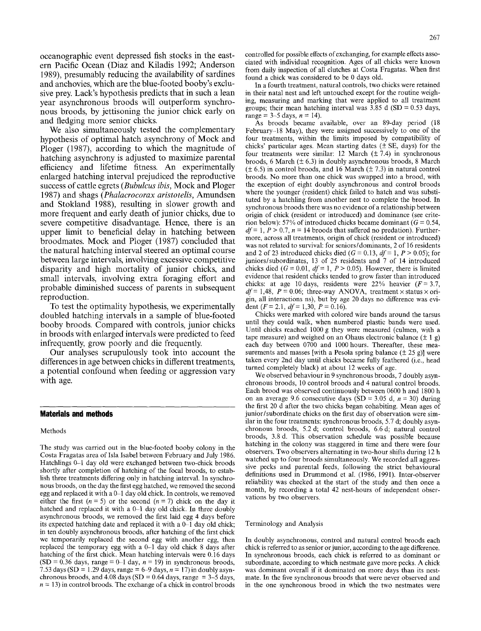267

oceanographic event depressed fish stocks in the eastern Pacific Ocean (Diaz and Kiladis 1992; Anderson 1989), presumably reducing the availability of sardines and anchovies, which are the blue-footed booby's exclusive prey. Lack's hypothesis predicts that in such a lean year asynchronous broods will outperform synchronous broods, by jettisoning the junior chick early on and fledging more senior chicks.

We also simultaneously tested the complementary hypothesis of optimal hatch asynchrony of Mock and Ploger (1987), according to which the magnitude of hatching asynchrony is adjusted to maximize parental efficiency and lifetime fitness. An experimentally enlarged hatching interval prejudiced the reproductive success of cattle egrets *(Bubulcus ibis,* Mock and Ploger 1987) and shags *(Phalacrocorax aristotelis,* Amundsen and Stokland 1988), resulting in slower growth and more frequent and early death of junior chicks, due to severe competitive disadvantage. Hence, there is an upper limit to beneficial delay in hatching between broodmates. Mock and Ploger (1987) concluded that the natural hatching interval steered an optimal course between large intervals, involving excessive competitive disparity and high mortality of junior chicks, and small intervals, involving extra foraging effort and probable diminished success of parents in subsequent reproduction.

To test the optimality hypothesis, we experimentally doubled hatching intervals in a sample of blue-footed booby broods. Compared with controls, junior chicks in broods with enlarged intervals were predicted to feed infrequently, grow poorly and die frequently.

Our analyses scrupulously took into account the differences in age between chicks in different treatments, a potential confound when feeding or aggression vary with age.

#### **Materials and methods**

#### Methods

The study was carried out in the blue-footed booby colony in the Costa Fragatas area of Isla Isabel between February and July 1986. Hatchlings 0-1 day old were exchanged between two-chick broods shortly after completion of hatching of the focal broods, to establish three treatments differing only in hatching interval. In synchronous broods, on the day the first egg hatched, we removed the second egg and replaced it with a 0-1 day old chick. In controls, we removed either the first  $(n = 5)$  or the second  $(n = 7)$  chick on the day it hatched and replaced it with a  $0-1$  day old chick. In three doubly asynchronous broods, we removed the first laid egg 4 days before its expected hatching date and replaced it with a 0-1 day old chick; in ten doubly asynchronous broods, after hatching of the first chick we temporarily replaced the second egg with another egg, then replaced the temporary egg with a 0-1 day old chick 8 days after hatching of the first chick. Mean hatching intervals were 0.16 days (SD = 0.36 days, range = 0–1 day,  $n = 19$ ) in synchronous broods, 7.53 days (SD = 1.29 days, range = 6–9 days,  $n = 17$ ) in doubly asynchronous broods, and 4.08 days (SD =  $0.64$  days, range =  $3-5$  days,  $n = 13$ ) in control broods. The exchange of a chick in control broods controlled for possible effects of exchanging, for example effects associated with individual recognition. Ages of all chicks were known from daily inspection of all clutches at Costa Fragatas. When first found a chick was considered to be 0 days old.

In a fourth treatment, natural controls, two chicks were retained in their natal nest and left untouched except for the routine weighing, measuring and marking that were applied to all treatment groups; their mean hatching interval was  $3.85$  d (SD = 0.53 days,  $range = 3 - 5 \text{ days}, n = 14.$ 

As broods became available, over an 89-day period (18 February-18 May), they were assigned successively to one of the four treatments, within the limits imposed by compatibility of chicks' particular ages. Mean starting dates  $(\pm S E, \text{ days})$  for the four treatments were similar: 12 March  $(\pm 7.4)$  in synchronous broods, 6 March  $(\pm 6.3)$  in doubly asynchronous broods, 8 March  $(\pm 6.5)$  in control broods, and 16 March ( $\pm 7.3$ ) in natural control broods. No more than one chick was swapped into a brood, with the exception of eight doubly asynchronous and control broods where the younger (resident) chick failed to hatch and was substituted by a hatchling from another nest to complete the brood. In synchronous broods there was no evidence of a relationship between origin of chick (resident or introduced) and dominance (see criterion below): 57% of introduced chicks became dominant ( $G = 0.54$ ,  $df = 1$ ,  $P > 0.7$ ,  $n = 14$  broods that suffered no predation). Furthermore, across all treatments, origin of chick (resident or introduced) was not related to survival: for seniors/dominants, 2 of 16 residents and 2 of 23 introduced chicks died ( $G = 0.13$ ,  $df = 1$ ,  $P > 0.05$ ); for juniors/subordinates, 13 of 25 residents and 7 of 14 introduced chicks died  $(G = 0.01, df = 1, P > 0.05)$ . However, there is limited evidence that resident chicks tended to grow faster than introduced chicks: at age 10 days, residents were 22% heavier ( $F = 3.7$ ,  $df = 1,48$ ,  $P = 0.06$ ; three-way ANOVA, treatment x status x origin, all interactions ns), but by age 20 days no difference was evident  $(F = 2.1, df = 1,30, P = 0.16)$ .

Chicks were marked with colored wire bands around the tarsus until they could walk, when numbered plastic bands were used. Until chicks reached 1000 g they were measured (culmen, with a tape measure) and weighed on an Ohaus electronic balance  $(\pm 1 \text{ g})$ each day between 0700 and 1000 hours. Thereafter, these measurements and masses [with a Pesola spring balance  $(\pm 25 \text{ g})$ ] were taken every 2nd day until chicks became fully feathered (i.e., head turned completely black) at about 12 weeks of age.

We observed behaviour in 9 synchronous broods, 7 doubly asynchronous broods, 10 control broods and 4 natural control broods. Each brood was observed continuously between 0600 h and 1800 h on an average 9.6 consecutive days (SD = 3.05 d,  $n = 30$ ) during the first 20 d after the two chicks began cohabiting. Mean ages of junior/subordinate chicks on the first day of observation were similar in the four treatments: synchronous broods, 5.7 d; doubly asynchronous broods, 5.2 d; control broods, 6.6 d; natural control broods, 3.8 d. This observation schedule was possible because hatching in the colony was staggered in time and there were four observers. Two observers alternating in two-hour shifts during 12 h watched up to four broods simultaneously. We recorded all aggressive pecks and parental feeds, following the strict behavioural definitions used in Drummond et al. (1986, 1991). Inter-observer reliability was checked at the start of the study and then once a month, by recording a total 42 nest-hours of independent observations by two observers.

#### Terminology and Analysis

In doubly asynchronous, control and natural control broods each chick is referred to as senior or junior, according to the age difference. In synchronous broods, each chick is referred to as dominant or subordinate, according to which nestmate gave more pecks. A chick was dominant overall if it dominated on more days than its nestmate. In the five synchronous broods that were never observed and in the one synchronous brood in which the two nestmates were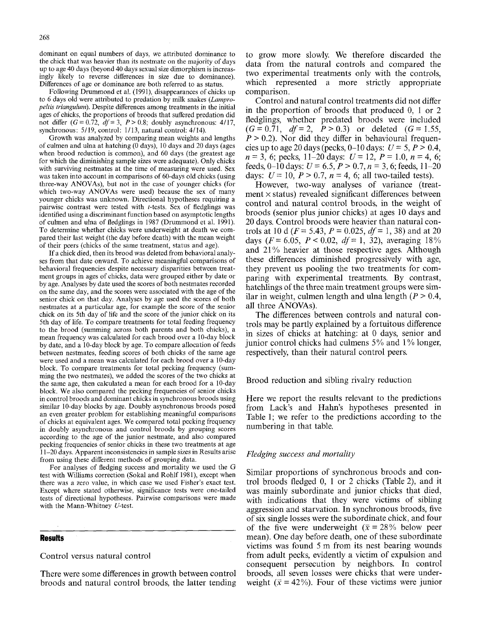dominant on equal numbers of days, we attributed dominance to the chick that was heavier than its nestmate on the majority of days up to age 40 days (beyond 40 days sexual size dimorphism is increasingly likely to reverse differences in size due to dominance). Differences of age or dominance are both referred to as status.

Following Drummond et al. (1991), disappearances of chicks up to 6 days old were attributed to predation by milk snakes *(Lampropeltis triangulum).* Despite differences among treatments in the initial ages of chicks, the proportions of broods that suffered predation did not differ  $(G=0.72, df=3, P>0.8;$  doubly asynchronous: 4/17, synchronous:  $5/19$ , control:  $1/13$ , natural control:  $4/14$ ).

Growth was analyzed by comparing mean weights and lengths of culmen and ulna at hatching (0 days), 10 days and 20 days (ages when brood reduction is common), and 60 days (the greatest age for which the diminishing sample sizes were adequate). Only chicks with surviving nestmates at the time of measuring were used. Sex was taken into account in comparisons of 60-days old chicks (using three-way ANOVAs), but not in the case of younger chicks (for which two-way ANOVAs were used) because the sex of many younger chicks was unknown. Directional hypotheses requiring a pairwise contrast were tested with  $t$ -tests. Sex of fledglings was identified using a discriminant function based on asymptotic lengths of culmen and ulna of fledglings in 1987 (Drummond et al. 1991). To determine whether chicks were underweight at death we compared their last weight (the day before death) with the mean weight of their peers (chicks of the same treatment, status and age).

Ifa chick died, then its brood was deleted from behavioral analyses from that date onward. To achieve meaningful comparisons of behavioral frequencies despite necessary disparities between treatment groups in ages of chicks, data were grouped either by date or by age. Analyses by date used the scores of both nestmates recorded on the same day, and the scores were associated with the age of the senior chick on that day. Analyses by age used the scores of both nestmates at a particular age, for example the score of the senior chick on its 5th day of life and the score of the junior chick on its 5th day of life. To compare treatments for total feeding frequency to the brood (summing across both parents and both chicks), a mean frequency was calculated for each brood over a 10-day block by date, and a 10-day block by age. To compare allocation of feeds between nestmates, feeding scores of both chicks of the same age were used and a mean was calculated for each brood over a 10-day block. To compare treatments for total pecking frequency (summing the two nestmates), we added the scores of the two chicks at the same age, then calculated a mean for each brood for a 10-day block. We also compared the pecking frequencies of senior chicks in control broods and dominant chicks in synchronous broods using similar 10-day blocks by age. Doubly asynchronous broods posed an even greater problem for establishing meaningful comparisons of chicks at equivalent ages. We compared total pecking frequency in doubly asynchronous and control broods by grouping scores according to the age of the junior nestmate, and also compared pecking frequencies of senior chicks in these two treatments at age **11-20** days. Apparent inconsistencies in sample sizes in Results arise from using these different methods of grouping data.

For analyses of fledging success and mortality we used the G test with Williams correction (Sokal and Rohlf 1981), except when there was a zero value, in which case we used Fisher's exact test. Except where stated otherwise, significance tests were one-tailed tests of directional hypotheses. Pairwise comparisons were made with the Mann-Whitney U-test.

#### **Results**

Control versus natural control

There were some differences in growth between control broods and natural control broods, the latter tending to grow more slowly. We therefore discarded the data from the natural controls and compared the two experimental treatments only with the controls, which represented a more strictly appropriate comparison.

Control and natural control treatments did not differ in the proportion of broods that produced 0, 1 or 2 fledglings, whether predated broods were included  $(G=0.71, df=2, P>0.3)$  or deleted  $(G=1.55,$  $P > 0.2$ ). Nor did they differ in behavioural frequencies up to age 20 days (pecks, 0–10 days:  $U = 5$ ,  $P > 0.4$ ,  $n = 3$ , 6; pecks, 11-20 days:  $U = 12$ ,  $P = 1.0$ ,  $n = 4$ , 6; feeds, 0–10 days:  $U = 6.5$ ,  $P > 0.7$ ,  $n = 3$ , 6; feeds, 11–20 days:  $U = 10$ ,  $P > 0.7$ ,  $n = 4$ , 6; all two-tailed tests).

However, two-way analyses of variance (treat $ment \times status$ ) revealed significant differences between control and natural control broods, in the weight of broods (senior plus junior chicks) at ages 10 days and 20 days. Control broods were heavier than natural controls at 10 d ( $F = 5.43$ ,  $P = 0.025$ ,  $df = 1$ , 38) and at 20 days ( $F = 6.05$ ,  $P < 0.02$ ,  $df = 1$ , 32), averaging 18% and 21% heavier at those respective ages. Although these differences diminished progressively with age, they prevent us pooling the two treatments for comparing with experimental treatments. By contrast, hatchlings of the three main treatment groups were similar in weight, culmen length and ulna length  $(P > 0.4$ , all three ANOVAs).

The differences between controls and natural controls may be partly explained by a fortuitous difference in sizes of chicks at hatching: at 0 days, senior and junior control chicks had culmens  $5\%$  and  $1\%$  longer, respectively, than their natural control peers.

Brood reduction and sibling rivalry reduction

Here we report the results relevant to the predictions from Lack's and Hahn's hypotheses presented in Table 1; we refer to the predictions according to the numbering in that table.

#### *Fledging success and mortality*

Similar proportions of synchronous broods and control broods fledged 0, 1 or 2 chicks (Table 2), and it was mainly subordinate and junior chicks that died, with indications that they were victims of sibling aggression and starvation. In synchronous broods, five of six single losses were the subordinate chick, and four of the five were underweight ( $\bar{x} = 28\%$  below peer mean). One day before death, one of these subordinate victims was found 5 m from its nest bearing wounds from adult pecks, evidently a victim of expulsion and consequent persecution by neighbors. In control broods, all seven losses were chicks that were underweight ( $\bar{x}$  = 42%). Four of these victims were junior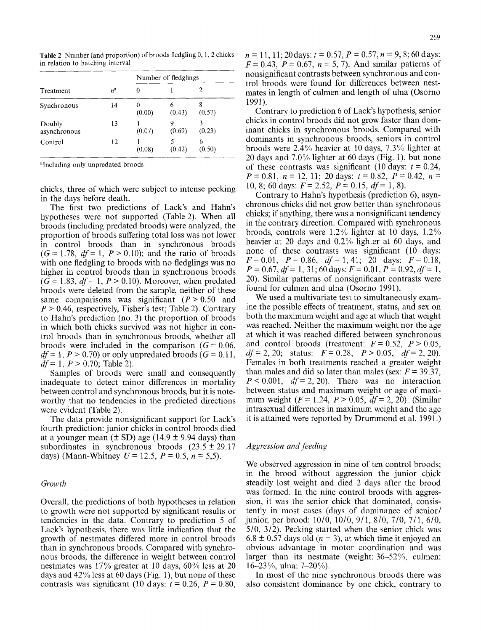Table 2 Number (and proportion) of broods fledgling 0, 1, 2 chicks in relation to hatching interval

|                        |             | Number of fledglings |             |             |  |
|------------------------|-------------|----------------------|-------------|-------------|--|
| Treatment              | $n^{\rm a}$ | 0                    |             | 2           |  |
| Synchronous            | 14          | 0<br>(0.00)          | 6<br>(0.43) | (0.57)      |  |
| Doubly<br>asynchronous | 13          | (0.07)               | 9<br>(0.69) | 3<br>(0.23) |  |
| Control                | 12          | (0.08)               | 5<br>(0.42) | 6<br>(0.50) |  |

<sup>a</sup>Including only unpredated broods

chicks, three of which were subject to intense pecking in the days before death.

The first two predictions of Lack's and Hahn's hypotheses were not supported (Table 2). When all broods (including predated broods) were analyzed, the proportion of broods suffering total loss was not lower in control broods than in synchronous broods  $(G = 1.78, df = 1, P > 0.10)$ ; and the ratio of broods with one fledgling to broods with no fledglings was no higher in control broods than in synchronous broods  $(G = 1.83, df = 1, P > 0.10)$ . Moreover, when predated broods were deleted from the sample, neither of these same comparisons was significant  $(P>0.50$  and  $P > 0.46$ , respectively, Fisher's test; Table 2). Contrary to Hahn's prediction (no. 3) the proportion of broods in which both chicks survived was not higher in control broods than in synchronous broods, whether all broods were included in the comparison  $(G = 0.06,$  $df = 1$ ,  $P > 0.70$ ) or only unpredated broods ( $G = 0.11$ ,  $df = 1$ ,  $P > 0.70$ ; Table 2).

Samples of broods were small and consequently inadequate to detect minor differences in mortality between control and synchronous broods, but it is noteworthy that no tendencies in the predicted directions were evident (Table 2).

The data provide nonsignificant support for Lack's fourth prediction: junior chicks in control broods died at a younger mean  $(\pm SD)$  age (14.9  $\pm$  9.94 days) than subordinates in synchronous broods  $(23.5 \pm 29.17)$ days) (Mann-Whitney  $U = 12.5$ ,  $P = 0.5$ ,  $n = 5.5$ ).

#### *Growth*

Overall, the predictions of both hypotheses in relation to growth were not supported by significant results or tendencies in the data. Contrary to prediction 5 of Lack's hypothesis, there was little indication that the growth of nestmates differed more in control broods than in synchronous broods. Compared with synchronous broods, the difference in weight between control nestmates was 17% greater at 10 days, 60% less at 20 days and 42% less at 60 days (Fig. 1), but none of these contrasts was significant (10 days:  $t = 0.26$ ,  $P = 0.80$ ,

 $n = 11, 11; 20 \text{ days}; t = 0.57, P = 0.57, n = 9, 8; 60 \text{ days};$  $F = 0.43$ ,  $P = 0.67$ ,  $n = 5, 7$ ). And similar patterns of nonsignificant contrasts between synchronous and control broods were found for differences between nestmates in length of culmen and length of ulna (Osorno 1991).

Contrary to prediction 6 of Lack's hypothesis, senior chicks in control broods did not grow faster than dominant chicks in synchronous broods. Compared with dominants in synchronous broods, seniors in control broods were 2.4% heavier at 10 days, 7.3% lighter at 20 days and 7.0% lighter at 60 days (Fig. 1), but none of these contrasts was significant (10 days:  $t = 0.24$ ,  $P = 0.81$ ,  $n = 12, 11$ ; 20 days:  $t = 0.82$ ,  $P = 0.42$ ,  $n =$ 10, 8; 60 days: F= 2.52, P = 0.15, *df=* 1, 8).

Contrary to Hahn's hypothesis (prediction 6), asynchronous chicks did not grow better than synchronous chicks; if anything, there was a nonsignificant tendency in the contrary direction. Compared with synchronous broods, controls were 1.2% lighter at 10 days, 1.2% heavier at 20 days and 0.2% lighter at 60 days, and none of these contrasts was significant (10 days:  $F=0.01$ ,  $P=0.86$ ,  $df=1,41$ ; 20 days:  $F=0.18$ ,  $P = 0.67$ ,  $df = 1$ , 31; 60 days:  $F = 0.01$ ,  $P = 0.92$ ,  $df = 1$ , 20). Similar patterns of nonsignificant contrasts were found for culmen and ulna (Osorno 1991).

We used a multivariate test to simultaneously examine the possible effects of treatment, status, and sex on both the maximum weight and age at which that weight was reached. Neither the maximum weight nor the age at which it was reached differed between synchronous and control broods (treatment:  $F = 0.52$ ,  $P > 0.05$ ,  $df = 2, 20$ ; status:  $F = 0.28$ ,  $P > 0.05$ ,  $df = 2, 20$ ). Females in both treatments reached a greater weight than males and did so later than males (sex:  $F = 39.37$ ,  $P < 0.001$ ,  $df = 2,20$ . There was no interaction between status and maximum weight or age of maximum weight ( $F = 1.24$ ,  $P > 0.05$ ,  $df = 2, 20$ ). (Similar intrasexual differences in maximum weight and the age it is attained were reported by Drummond et al. 1991.)

#### *Aggression and feeding*

We observed aggression in nine of ten control broods; in the brood without aggression the junior chick steadily lost weight and died 2 days after the brood was formed. In the nine control broods with aggression, it was the senior chick that dominated, consistently in most cases (days of dominance of senior/ junior, per brood: 10/0, 10/0, 9/1, 8/0, 7/0, 7/1, 6/0, 5/0, 3/2). Pecking started when the senior chick was  $6.8 \pm 0.57$  days old ( $n = 3$ ), at which time it enjoyed an obvious advantage in motor coordination and was larger than its nestmate (weight: 36-52%, culmen: 16-23%, ulna: 7-20%).

In most of the nine synchronous broods there was also consistent dominance by one chick, contrary to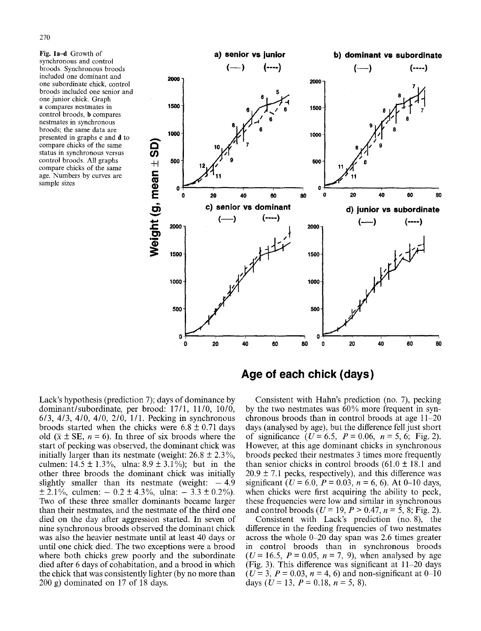Fig. la-d Growth of synchronous and control broods. Synchronous broods included one dominant and one subordinate chick, control broods included one senior and one junior chick. Graph a compares nestmates in control broods, b compares nestmates in synchronous broods; the same data are presented in graphs c and d to compare chicks of the same status in synchronous versus control broods. All graphs compare chicks of the same age. Numbers by curves are sample sizes



Lack's hypothesis (prediction 7); days of dominance by dominant/subordinate, per brood: 17/1, 11/0, 10/0, 6/3, 4/3, 4/0, 4/0, 2/0, 1/1. Pecking in synchronous broods started when the chicks were  $6.8 \pm 0.71$  days old ( $\bar{x} \pm SE$ ,  $n = 6$ ). In three of six broods where the start of pecking was observed, the dominant chick was initially larger than its nestmate (weight:  $26.8 \pm 2.3\%$ , culmen:  $14.5 \pm 1.3\%$ , ulna:  $8.9 \pm 3.1\%$ ; but in the other three broods the dominant chick was initially slightly smaller than its nestmate (weight:  $-4.9$  $\pm$  2.1%, culmen:  $-$  0.2  $\pm$  4.3%, ulna:  $-$  3.3  $\pm$  0.2%). Two of these three smaller dominants became larger than their nestmates, and the nestmate of the third one died on the day after aggression started. In seven of nine synchronous broods observed the dominant chick was also the heavier nestmate until at least 40 days or until one chick died. The two exceptions were a brood where both chicks grew poorly and the subordinate died after 6 days of cohabitation, and a brood in which the chick that was consistently lighter (by no more than 200 g) dominated on 17 of 18 days.

# **Age of each chick (days)**

Consistent with Hahn's prediction (no. 7), pecking by the two nestmates was 60% more frequent in synchronous broods than in control broods at age 11-20 days (analysed by age), but the difference fell just short of significance  $(U = 6.5, P = 0.06, n = 5, 6; Fig. 2)$ . However, at this age dominant chicks in synchronous broods pecked their nestmates 3 times more frequently than senior chicks in control broods  $(61.0 \pm 18.1$  and  $20.9 \pm 7.1$  pecks, respectively), and this difference was significant ( $U = 6.0$ ,  $P = 0.03$ ,  $n = 6$ , 6). At 0-10 days, when chicks were first acquiring the ability to peck, these frequencies were low and similar in synchronous and control broods ( $U = 19$ ,  $P > 0.47$ ,  $n = 5$ , 8; Fig. 2).

Consistent with Lack's prediction (no. 8), the difference in the feeding frequencies of two nestmates across the whole 0-20 day span was 2.6 times greater in control broods than in synchronous broods  $(U= 16.5, P= 0.05, n = 7, 9)$ , when analysed by age (Fig. 3). This difference was significant at 11-20 days  $(U=3, P=0.03, n=4, 6)$  and non-significant at 0-10 days ( $U= 13$ ,  $P= 0.18$ ,  $n = 5, 8$ ).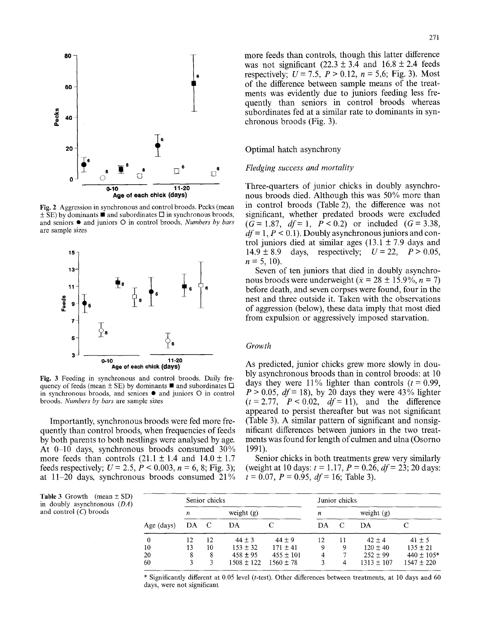

Fig. 2 Aggression in synchronous and control broods. Pecks (mean  $\pm$  SE) by dominants **a** and subordinates  $\Box$  in synchronous broods, and seniors • and juniors O in control broods. *Numbers by bars*  are sample sizes



Fig. 3 Feeding in synchronous and control broods. Daily frequency of feeds (mean  $\pm$  SE) by dominants  $\blacksquare$  and subordinates  $\square$ in synchronous broods, and seniors  $\bullet$  and juniors  $\circ$  in control broods. *Numbers by bars* are sample sizes

Importantly, synchronous broods were fed more frequently than control broods, when frequencies of feeds by both parents to both nestlings were analysed by age. At  $0-10$  days, synchronous broods consumed  $30\%$ more feeds than controls  $(21.1 \pm 1.4$  and  $14.0 \pm 1.7$ feeds respectively;  $U = 2.5$ ,  $P < 0.003$ ,  $n = 6$ , 8; Fig. 3); at 11-20 days, synchronous broods consumed 21%

**Table 3** Growth (mean  $\pm$  SD) in doubly asynchronous *(DA)*  and control  $(C)$  broods

more feeds than controls, though this latter difference was not significant  $(22.3 \pm 3.4 \text{ and } 16.8 \pm 2.4 \text{ feeds})$ respectively;  $U = 7.5$ ,  $P > 0.12$ ,  $n = 5.6$ ; Fig. 3). Most of the difference between sample means of the treatments was evidently due to juniors feeding less frequently than seniors in control broods whereas subordinates fed at a similar rate to dominants in synchronous broods (Fig. 3).

#### Optimal hatch asynchrony

# *Fledging success and mortality*

Three-quarters of junior chicks in doubly asynchronous broods died. Although this was 50% more than in control broods (Table 2), the difference was not significant, whether predated broods were excluded  $(G= 1.87, df= 1, P < 0.2)$  or included  $(G= 3.38,$  $df = 1, P < 0.1$ ). Doubly asynchronous juniors and control juniors died at similar ages (13.1  $\pm$  7.9 days and 14.9 ± 8.9 days, respectively;  $U = 22$ ,  $P > 0.05$ ,  $n = 5, 10$ .

Seven of ten juniors that died in doubly asynchronous broods were underweight ( $\bar{x} = 28 \pm 15.9\%$ ,  $n = 7$ ) before death, and seven corpses were found, four in the nest and three outside it. Taken with the observations of aggression (below), these data imply that most died from expulsion or aggressively imposed starvation.

## *Growth*

As predicted, junior chicks grew more slowly in doubly asynchronous broods than in control broods: at 10 days they were 11% lighter than controls  $(t = 0.99$ ,  $P > 0.05$ ,  $df = 18$ ), by 20 days they were 43% lighter  $(t=2.77, P<0.02, df=11)$ , and the difference appeared to persist thereafter but was not significant (Table 3). A similar pattern of significant and nonsignificant differences between juniors in the two treatments was found for length of culmen and ulna (Osorno 1991).

Senior chicks in both treatments grew very similarly (weight at 10 days:  $t = 1.17$ ,  $P = 0.26$ ,  $df = 23$ ; 20 days:  $t = 0.07$ ,  $P = 0.95$ ,  $df = 16$ ; Table 3).

|            | Senior chicks |                |              |               | Junior chicks |               |              |                |
|------------|---------------|----------------|--------------|---------------|---------------|---------------|--------------|----------------|
|            | п             |                | weight $(g)$ |               | n             |               | weight $(g)$ |                |
| Age (days) | DA            | <sup>-</sup> C | DА           |               | DА            | $\mathcal{C}$ | DA           |                |
| $\bf{0}$   | 12            | 12             | $44 \pm 3$   | $44 + 9$      | 12            | 11            | $42 + 4$     | $41 \pm 5$     |
| 10         | 13            | 10             | $153 + 32$   | $171 + 41$    | 9             | 9             | $120 + 40$   | $135 \pm 21$   |
| 20         | 8             | 8              | $458 \pm 95$ | $455 \pm 101$ | 4             |               | $252 \pm 99$ | $440 \pm 105*$ |
| 60         |               | 3              | $1508 + 122$ | $1560 \pm 78$ | κ             | 4             | $1313 + 107$ | $1547 + 220$   |

\* Significantly different at 0.05 level (t-test). Other differences between treatments, at 10 days and 60 days, were not significant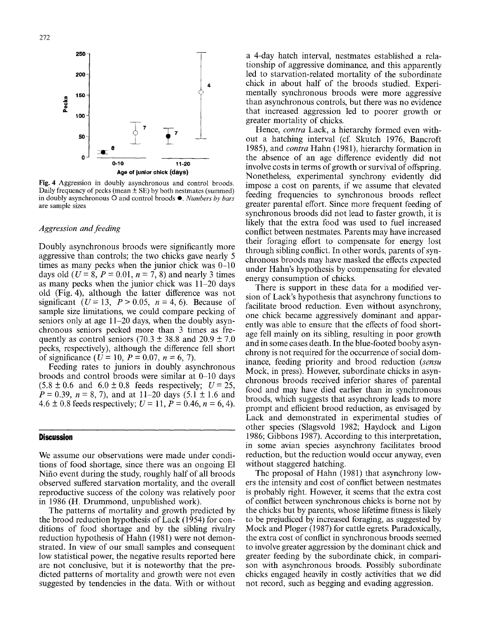

Fig. 4 Aggression in doubly asynchronous and control broods. Daily frequency of pecks (mean  $\pm$  SE) by both nestmates (summed) in doubly asynchronous O and control broods e. *Numbers by bars*  are sample sizes

#### *Aggression and feeding*

Doubly asynchronous broods were significantly more aggressive than controls; the two chicks gave nearly 5 times as many pecks when the junior chick was 0-10 days old ( $U = 8$ ,  $P = 0.01$ ,  $n = 7$ , 8) and nearly 3 times as many pecks when the junior chick was 11-20 days old (Fig. 4), although the latter difference was not significant ( $U = 13$ ,  $P > 0.05$ ,  $n = 4, 6$ ). Because of sample size limitations, we could compare pecking of seniors only at age 11-20 days, when the doubly asynchronous seniors pecked more than 3 times as frequently as control seniors (70.3  $\pm$  38.8 and 20.9  $\pm$  7.0 pecks, respectively), although the difference fell short of significance ( $U = 10$ ,  $P = 0.07$ ,  $n = 6, 7$ ).

Feeding rates to juniors in doubly asynchronous broods and control broods were similar at 0-10 days  $(5.8 \pm 0.6 \text{ and } 6.0 \pm 0.8 \text{ feeds respectively}; U = 25,$  $P = 0.39$ ,  $n = 8, 7$ ), and at 11-20 days (5.1  $\pm$  1.6 and 4.6  $\pm$  0.8 feeds respectively;  $U = 11$ ,  $P = 0.46$ ,  $n = 6, 4$ ).

### **Discussion**

We assume our observations were made under conditions of food shortage, since there was an ongoing El Nifio event during the study, roughly half of all broods observed suffered starvation mortality, and the overall reproductive success of the colony was relatively poor in 1986 (H. Drummond, unpublished work).

The patterns of mortality and growth predicted by the brood reduction hypothesis of Lack (1954) for conditions of food shortage and by the sibling rivalry reduction hypothesis of Hahn (1981) were not demonstrated. In view of our small samples and consequent low statistical power, the negative results reported here are not conclusive, but it is noteworthy that the predicted patterns of mortality and growth were not even suggested by tendencies in the data. With or without a 4-day hatch interval, nestmates established a relationship of aggressive dominance, and this apparently led to starvation-related mortality of the subordinate chick in about half of the broods studied. Experimentally synchronous broods were more aggressive than asynchronous controls, but there was no evidence that increased aggression led to poorer growth or greater mortality of chicks.

Hence, *contra* Lack, a hierarchy formed even without a hatching interval (cf. Skutch 1976, Bancroft 1985), and *contra* Hahn (1981), hierarchy formation in the absence of an age difference evidently did not involve costs in terms of growth or survival of offspring. Nonetheless, experimental synchrony evidently did impose a cost on parents, if we assume that elevated feeding frequencies to synchronous broods reflect greater parental effort. Since more frequent feeding of synchronous broods did not lead to faster growth, it is likely that the extra food was used to fuel increased conflict between nestmates. Parents may have increased their foraging effort to compensate for energy lost through sibling conflict. In other words, parents of synchronous broods may have masked the effects expected under Hahn's hypothesis by compensating for elevated energy consumption of chicks.

There is support in these data for a modified version of Lack's hypothesis that asynchrony functions to facilitate brood reduction. Even without asynchrony, one chick became aggressively dominant and apparently was able to ensure that the effects of food shortage fell mainly on its sibling, resulting in poor growth and in some cases death. In the blue-footed booby asynchrony is not required for the occurrence of social dominance, feeding priority and brood reduction *(sensu*  Mock, in press). However, subordinate chicks in asynchronous broods received inferior shares of parental food and may have died earlier than in synchronous broods, which suggests that asynchrony leads to more prompt and efficient brood reduction, as envisaged by Lack and demonstrated in experimental studies of other species (Slagsvold 1982; Haydock and Ligon 1986; Gibbons 1987). According to this interpretation, in some avian species asynchrony facilitates brood reduction, but the reduction would occur anyway, even without staggered hatching.

The proposal of Hahn (1981) that asynchrony lowers the intensity and cost of conflict between nestmates is probably right. However, it seems that the extra cost of conflict between synchronous chicks is borne not by the chicks but by parents, whose lifetime fitness is likely to be prejudiced by increased foraging, as suggested by Mock and Ploger (1987) for cattle egrets. Paradoxically, the extra cost of conflict in synchronous broods seemed to involve greater aggression by the dominant chick and greater feeding by the subordinate chick, in comparison with asynchronous broods. Possibly subordinate chicks engaged heavily in costly activities that we did not record, such as begging and evading aggression.